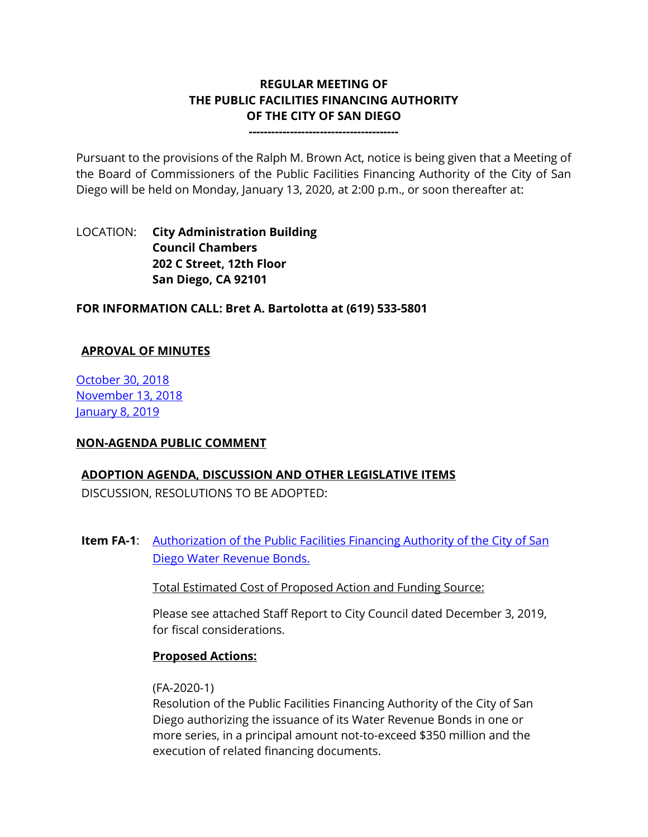# **REGULAR MEETING OF THE PUBLIC FACILITIES FINANCING AUTHORITY OF THE CITY OF SAN DIEGO**

**----------------------------------------**

Pursuant to the provisions of the Ralph M. Brown Act, notice is being given that a Meeting of the Board of Commissioners of the Public Facilities Financing Authority of the City of San Diego will be held on Monday, January 13, 2020, at 2:00 p.m., or soon thereafter at:

# LOCATION: **City Administration Building Council Chambers 202 C Street, 12th Floor San Diego, CA 92101**

**FOR INFORMATION CALL: Bret A. Bartolotta at (619) 533-5801**

### **APROVAL OF MINUTES**

[October 30, 2018](https://www.sandiego.gov/sites/default/files/10-30-2018.pdf) [November 13, 2018](https://www.sandiego.gov/sites/default/files/11-13-2018.pdf) **[January 8, 2019](https://www.sandiego.gov/sites/default/files/1-8-2019_0.pdf)** 

### **NON-AGENDA PUBLIC COMMENT**

### **ADOPTION AGENDA, DISCUSSION AND OTHER LEGISLATIVE ITEMS**

DISCUSSION, RESOLUTIONS TO BE ADOPTED:

**Item FA-1:** Authorization of the Public Facilities Financing Authority of the City of San [Diego Water Revenue Bonds.](https://www.sandiego.gov/sites/default/files/pffa_combined_attachments_fa-1.pdf)

Total Estimated Cost of Proposed Action and Funding Source:

Please see attached Staff Report to City Council dated December 3, 2019, for fiscal considerations.

### **Proposed Actions:**

#### (FA-2020-1)

Resolution of the Public Facilities Financing Authority of the City of San Diego authorizing the issuance of its Water Revenue Bonds in one or more series, in a principal amount not-to-exceed \$350 million and the execution of related financing documents.